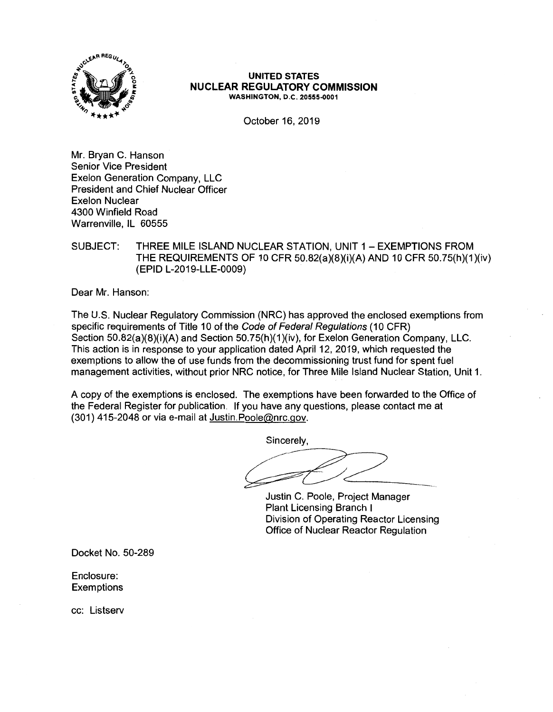

#### **UNITED STATES NUCLEAR REGULATORY COMMISSION WASHINGTON, D.C. 20555-0001**

October 16, 2019

Mr. Bryan C. Hanson Senior Vice President Exelon Generation Company, LLC President and Chief Nuclear Officer Exelon Nuclear 4300 Winfield Road Warrenville, IL 60555

# SUBJECT: THREE MILE ISLAND NUCLEAR STATION, UNIT 1 - EXEMPTIONS FROM THE REQUIREMENTS OF 10 CFR 50.82(a)(8)(i)(A) AND 10 CFR 50.75(h)(1)(iv) (EPID L-2019-LLE-0009)

Dear Mr. Hanson:

The U.S. Nuclear Regulatory Commission (NRC) has approved the enclosed exemptions from specific requirements of Title 10 of the Code of Federal Regulations (10 CFR) Section 50.82(a)(8)(i)(A) and Section 50.75(h)(1)(iv), for Exelon Generation Company, LLC. This action is in response to your application dated April 12, 2019, which requested the exemptions to allow the of use funds from the decommissioning trust fund for spent fuel management activities, without prior NRC notice, for Three Mile Island Nuclear Station, Unit 1.

A copy of the exemptions is enclosed. The exemptions have been forwarded to the Office of the Federal Register for publication. If you have any questions, please contact me at (301) 415-2048 or via e-mail at Justin.Poole@nrc.gov.

Sincerely,

Justin C. Poole, Project Manager Plant Licensing Branch I Division of Operating Reactor Licensing Office of Nuclear Reactor Regulation

Docket No. 50-289

Enclosure: **Exemptions** 

cc: Listserv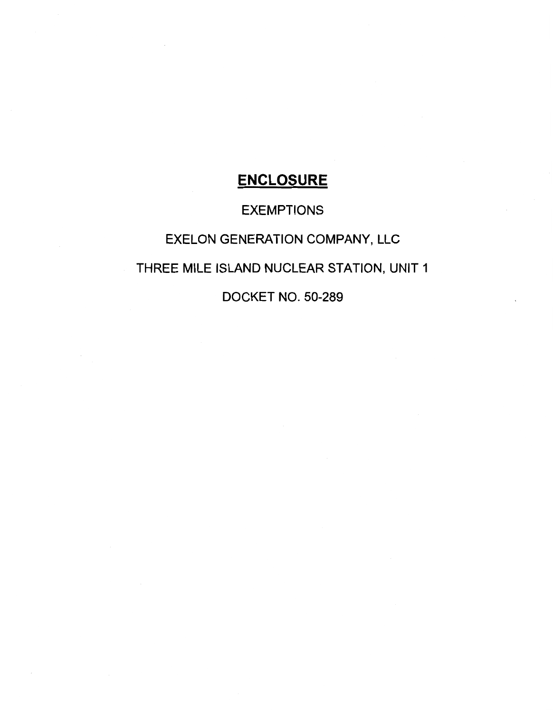# **ENCLOSURE**

# EXEMPTIONS

# EXELON GENERATION COMPANY, LLC

# THREE MILE ISLAND NUCLEAR STATION, UNIT 1

DOCKET NO. 50-289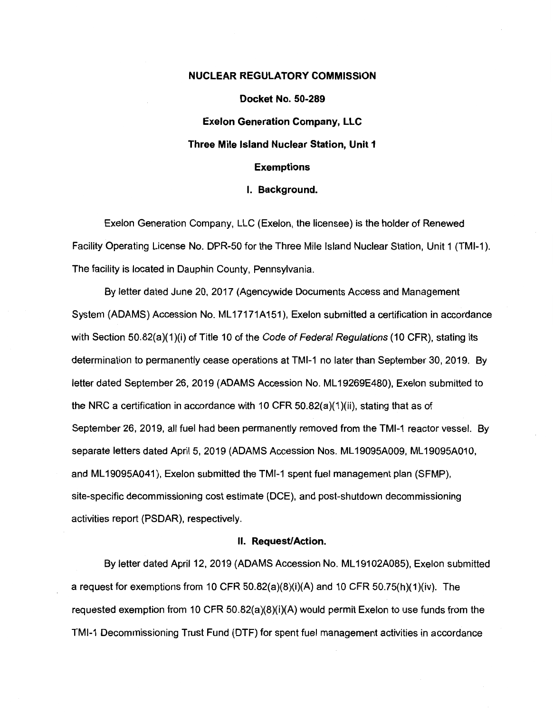#### **NUCLEAR REGULATORY COMMISSION**

**Docket No. 50-289 Exelon Generation Company, LLC Three Mile Island Nuclear Station, Unit 1 Exemptions** 

#### I. **Background.**

Exelon Generation Company, LLC (Exelon, the licensee) is the holder of Renewed Facility Operating License No. DPR-50 for the Three Mile Island Nuclear Station, Unit 1 {TMl-1 ). The facility is located in Dauphin County, Pennsylvania.

By letter dated June 20, 2017 (Agencywide Documents Access and Management System (ADAMS) Accession No. ML 17171A151), Exelon submitted a certification in accordance with Section 50.82(a)(1)(i) of Title 10 of the Code of Federal Regulations (10 CFR), stating its determination to permanently cease operations at TMl-1 no later than September 30, 2019. By letter dated September 26, 2019 (ADAMS Accession No. ML 19269E480), Exelon submitted to the NRC a certification in accordance with 10 CFR 50.82(a)(1 )(ii), stating that as of September 26, 2019, all fuel had been permanently removed from the TMl-1 reactor vessel. By separate letters dated April 5, 2019 (ADAMS Accession Nos. ML19095A009, ML19095A010, and ML 19095A041 ), Exelon submitted the TMl-1 spent fuel management plan (SFMP), site-specific decommissioning cost estimate (DCE), and post-shutdown decommissioning activities report (PSDAR), respectively.

#### II. **Request/Action.**

By letter dated April 12, 2019 (ADAMS Accession No. ML 19102A085), Exelon submitted a request for exemptions from 10 CFR 50.82(a)(8)(i)(A) and 10 CFR 50.75(h)(1 )(iv). The requested exemption from 10 CFR 50.82(a)(8)(i)(A) would permit Exelon to use funds from the TMl-1 Decommissioning Trust Fund (DTF} for spent fuel management activities in accordance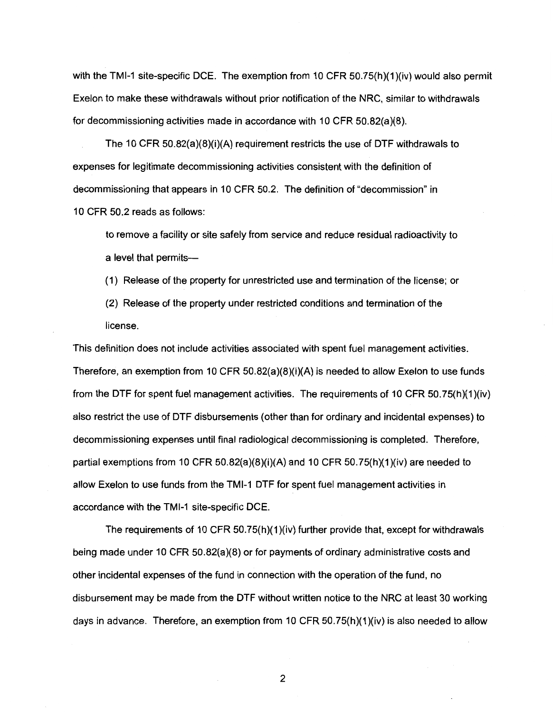with the TMI-1 site-specific DCE. The exemption from 10 CFR 50.75(h)(1)(iv) would also permit Exelon to make these withdrawals without prior notification of the **NRC,** similar to withdrawals for decommissioning activities made in accordance with 10 CFR 50.82(a)(8).

The 10 CFR 50.82(a)(8)(i)(A) requirement restricts the use of DTF withdrawals to expenses for legitimate decommissioning activities consistent with the definition of decommissioning that appears in 10 CFR 50.2. The definition of "decommission" in 10 CFR 50.2 reads as follows:

to remove a facility or site safely from service and reduce residual radioactivity to a level that permits-

( 1) Release of the property for unrestricted use and termination of the license; or

(2) Release of the property under restricted conditions and termination of the license.

This definition does not include activities associated with spent fuel management activities. Therefore, an exemption from 10 CFR 50.82(a)(8)(i)(A) is needed to allow Exelon to use funds from the DTF for spent fuel management activities. The requirements of 10 CFR  $50.75(h)(1)(iv)$ also restrict the use of DTF disbursements (other than for ordinary and incidental expenses) to decommissioning expenses until final radiological decommissioning is completed. Therefore, partial exemptions from 10 CFR 50.82(a)(8)(i)(A) and 10 CFR 50.75(h)(1)(iv) are needed to allow Exelon to use funds from the TMl-1 DTF for spent fuel management activities in accordance with the TMl-1 site-specific DCE.

The requirements of 10 CFR 50.75(h)(1)(iv) further provide that, except for withdrawals being made under 10 CFR  $50.82(a)(8)$  or for payments of ordinary administrative costs and other incidental expenses of the fund in connection with the operation of the fund, no disbursement may be made from the DTF without written notice to the NRC at least 30 working days in advance. Therefore, an exemption from 10 CFR 50.75(h)(1)(iv) is also needed to allow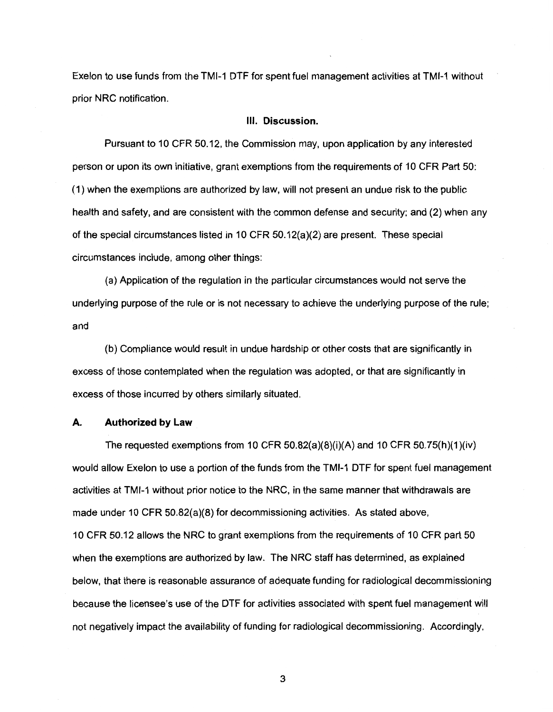Exelon to use funds from the TMl-1 DTF for spent fuel management activities at TMl-1 without prior NRC notification.

#### Ill. **Discussion.**

Pursuant to 10 CFR 50.12, the Commission may, upon application by any interested person or upon its own initiative, grant exemptions from the requirements of 10 CFR Part 50: (1) when the exemptions are authorized by law, will not present an undue risk to the public health and safety, and are consistent with the common defense and security; and (2) when any of the special circumstances listed in 10 CFR 50.12(a)(2) are present. These special circumstances include, among other things:

(a) Application of the regulation in the particular circumstances would not serve the underlying purpose of the rule or is not necessary to achieve the underlying purpose of the rule; and

(b) Compliance would result in undue hardship or other costs that are significantly in excess of those contemplated when the regulation was adopted, or that are significantly in excess of those incurred by others similarly situated.

#### **A. Authorized by Law**

The requested exemptions from 10 CFR 50.82(a)(8)(i)(A) and 10 CFR 50.75(h)(1)(iv) would allow Exelon to use a portion of the funds from the TMl-1 DTF for spent fuel management activities at TMl-1 without prior notice to the NRC, in the same manner that withdrawals are made under 10 CFR 50.82(a)(8) for decommissioning activities. As stated above, 10 CFR 50.12 allows the NRC to grant exemptions from the requirements of 10 CFR part 50 when the exemptions are authorized by law. The NRC staff has determined, as explained below, that there is reasonable assurance of adequate funding for radiological decommissioning because the licensee's use of the DTF for activities associated with spent fuel management will not negatively impact the availability of funding for radiological decommissioning. Accordingly,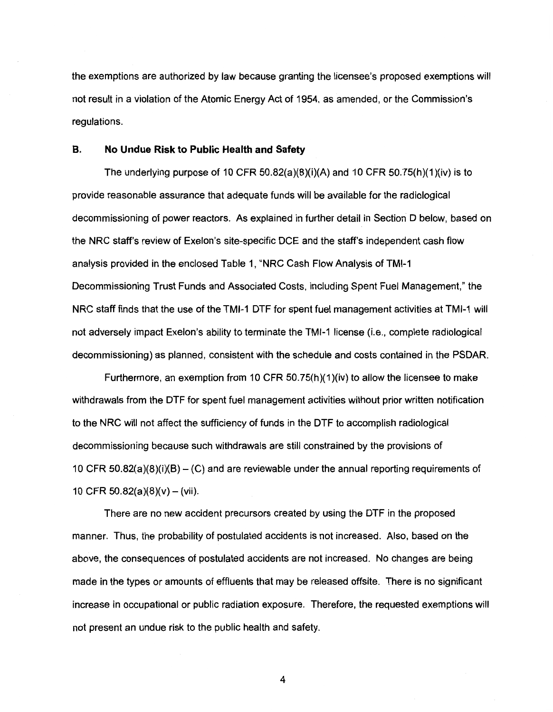the exemptions are authorized by law because granting the licensee's proposed exemptions will not result in a violation of the Atomic Energy Act of 1954, as amended, or the Commission's regulations.

#### **B. No Undue Risk to Public Health and Safety**

The underlying purpose of 10 CFR  $50.82(a)(8)(i)(A)$  and 10 CFR  $50.75(h)(1)(iv)$  is to provide reasonable assurance that adequate funds will be available for the radiological decommissioning of power reactors. As explained in further detail in Section D below, based on the NRC staff's review of Exelon's site-specific DCE and the staff's independent cash flow analysis provided in the enclosed Table 1, "NRC Cash Flow Analysis of TMl-1 Decommissioning Trust Funds and Associated Costs, including Spent Fuel Management," the NRC staff finds that the use of the TMl-1 DTF for spent fuel management activities at TMl-1 will not adversely impact Exelon's ability to terminate the TMl-1 license (i.e., complete radiological decommissioning) as planned, consistent with the schedule and costs contained in the PSDAR.

Furthermore, an exemption from 10 CFR 50.75(h)(1)(iv) to allow the licensee to make withdrawals from the DTF for spent fuel management activities without prior written notification to the NRC will not affect the sufficiency of funds in the DTF to accomplish radiological decommissioning because such withdrawals are still constrained by the provisions of 10 CFR  $50.82(a)(8)(i)(B) - (C)$  and are reviewable under the annual reporting requirements of 10 CFR 50.82(a)(8)(v) – (vii).

There are no new accident precursors created by using the DTF in the proposed manner. Thus, the probability of postulated accidents is not increased. Also, based on the above, the consequences of postulated accidents are not increased. No changes are being made in the types or amounts of effluents that may be released offsite. There is no significant increase in occupational or public radiation exposure. Therefore, the requested exemptions will not present an undue risk to the public health and safety.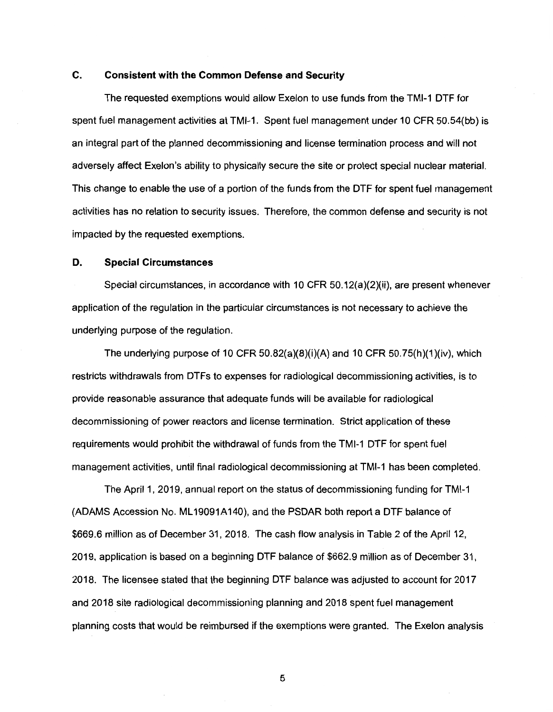## **C. Consistent with the Common Defense and Security**

The requested exemptions would allow Exelon to use funds from the TMl-1 DTF for spent fuel management activities at TMl-1. Spent fuel management under 10 CFR 50.54(bb) is an integral part of the planned decommissioning and license termination process and will not adversely affect Exelon's ability to physically secure the site or protect special nuclear material. This change to enable the use of a portion of the funds from the DTF for spent fuel management activities has no relation to security issues. Therefore, the common defense and security is not impacted by the requested exemptions.

#### **D. Special Circumstances**

Special circumstances, in accordance with 10 CFR 50.12(a)(2)(ii), are present whenever application of the regulation in the particular circumstances is not necessary to achieve the underlying purpose of the regulation.

The underlying purpose of 10 CFR  $50.82(a)(8)(i)(A)$  and 10 CFR  $50.75(h)(1)(iv)$ , which restricts withdrawals from DTFs to expenses for radiological decommissioning activities, is to provide reasonable assurance that adequate funds will be available for radiological decommissioning of power reactors and license termination. Strict application of these requirements would prohibit the withdrawal of funds from the TMl-1 DTF for spent fuel management activities, until final radiological decommissioning at TMl-1 has been completed.

The April 1, 2019, annual report on the status of decommissioning funding for TMl-1 (ADAMS Accession No. ML 19091A140), and the PSDAR both report a DTF balance of \$669.6 million as of December 31, 2018. The cash flow analysis in Table 2 of the April 12, 2019, application is based on a beginning DTF balance of \$662.9 million as of December 31, 2018. The licensee stated that the beginning DTF balance was adjusted to account for 2017 and 2018 site radiological decommissioning planning and 2018 spent fuel management planning costs that would be reimbursed if the exemptions were granted. The Exelon analysis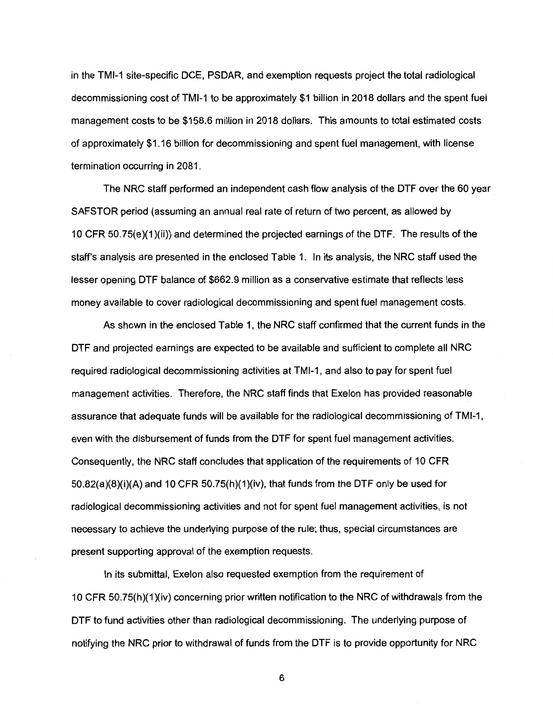in the TMl-1 site-specific DCE, PSDAR, and exemption requests project the total radiological decommissioning cost of TMl-1 to be approximately \$1 billion in 2018 dollars and the spent fuel management costs to be \$158.6 million in 2018 dollars. This amounts to total estimated costs of approximately \$1.16 billion for decommissioning and spent fuel management, with license termination occurring in 2081.

The NRC staff performed an independent cash flow analysis of the DTF over the 60 year SAFSTOR period (assuming an annual real rate of return of two percent, as allowed by 10 CFR 50.75( $e$ )( $1$ )(ii)) and determined the projected earnings of the DTF. The results of the staff's analysis are presented in the enclosed Table 1. In its analysis, the NRC staff used the lesser opening DTF balance of \$662.9 million as a conservative estimate that reflects less money available to cover radiological decommissioning and spent fuel management costs.

As shown in the enclosed Table 1, the NRC staff confirmed that the current funds in the DTF and projected earnings are expected to be available and sufficient to complete all NRC required radiological decommissioning activities at TMl-1, and also to pay for spent fuel management activities. Therefore, the NRC staff finds that Exelon has provided reasonable assurance that adequate funds will be available for the radiological decommissioning of TMl-1, even with the disbursement of funds from the DTF for spent fuel management activities. Consequently, the NRC staff concludes that application of the requirements of 10 CFR  $50.82(a)(8)(i)(A)$  and 10 CFR  $50.75(h)(1)(iv)$ , that funds from the DTF only be used for radiological decommissioning activities and not for spent fuel management activities, is not necessary to achieve the underlying purpose of the rule; thus, special circumstances are present supporting approval of the exemption requests.

In its submittal, Exelon also requested exemption from the requirement of 10 CFR 50.75(h)(1 )(iv) concerning prior written notification to the NRC of withdrawals from the DTF to fund activities other than radiological decommissioning. The underlying purpose of notifying the NRC prior to withdrawal of funds from the DTF is to provide opportunity for NRC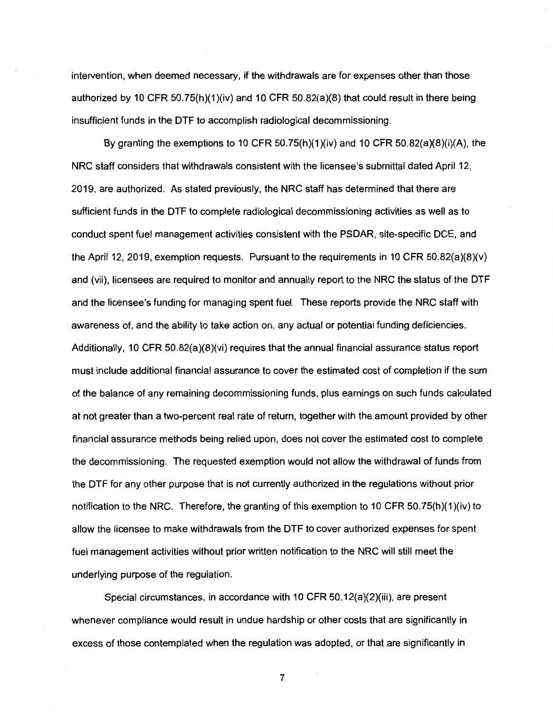intervention, when deemed necessary, if the withdrawals are for expenses other than those authorized by 10 CFR 50.75(h)(1)(iv) and 10 CFR 50.82(a)(8) that could result in there being insufficient funds in the DTF to accomplish radiological decommissioning.

By granting the exemptions to 10 CFR  $50.75(h)(1)(iv)$  and 10 CFR  $50.82(a)(8)(i)(A)$ , the NRC staff considers that withdrawals consistent with the licensee's submittal dated April 12, 2019, are authorized. As stated previously, the NRC staff has determined that there are sufficient funds in the DTF to complete radiological decommissioning activities as well as to conduct spent fuel management activities consistent with the PSDAR, site-specific DCE, and the April 12, 2019, exemption requests. Pursuant to the requirements in 10 CFR 50.82(a)(8)(v) and (vii), licensees are required to monitor and annually report to the NRC the status of the DTF and the licensee's funding for managing spent fuel. These reports provide the NRC staff with awareness of, and the ability to take action on, any actual or potential funding deficiencies. Additionally, 10 CFR 50.82(a)(8)(vi) requires that the annual financial assurance status report must include additional financial assurance to cover the estimated cost of completion if the sum of the balance of any remaining decommissioning funds, plus earnings on such funds calculated at not greater than a two-percent real rate of return, together with the amount provided by other financial assurance methods being relied upon, does not cover the estimated cost to complete the decommissioning. The requested exemption would not allow the withdrawal of funds from the DTF for any other purpose that is not currently authorized in the regulations without prior notification to the NRC. Therefore, the granting of this exemption to 10 CFR 50.75(h)(1)(iv) to allow the licensee to make withdrawals from the DTF to cover authorized expenses for spent fuel management activities without prior written notification to the NRC will still meet the underlying purpose of the regulation.

Special circumstances, in accordance with 10 CFR 50.12(a)(2)(iii), are present whenever compliance would result in undue hardship or other costs that are significantly in excess of those contemplated when the regulation was adopted, or that are significantly in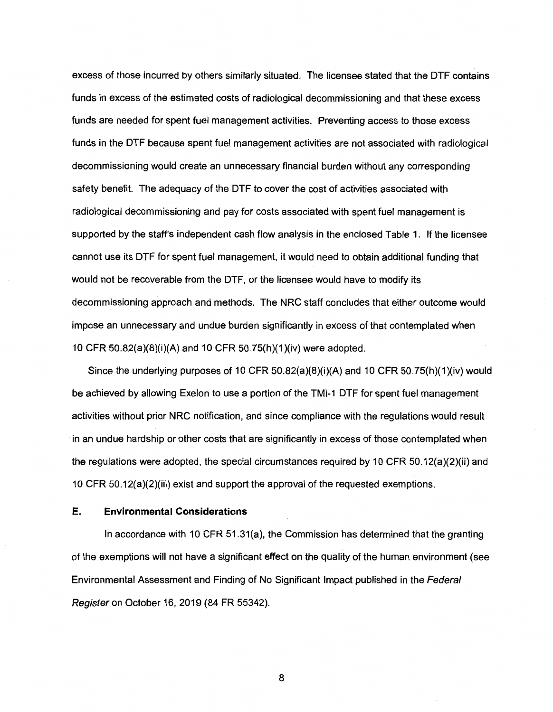excess of those incurred by others similarly situated. The licensee stated that the DTF contains funds in excess of the estimated costs of radiological decommissioning and that these excess funds are needed for spent fuel management activities. Preventing access to those excess funds in the DTF because spent fuel management activities are not associated with radiological decommissioning would create an unnecessary financial burden without any corresponding safety benefit. The adequacy of the DTF to cover the cost of activities associated with radiological decommissioning and pay for costs associated with spent fuel management is supported by the staff's independent cash flow analysis in the enclosed Table 1. If the licensee cannot use its DTF for spent fuel management, it would need to obtain additional funding that would not be recoverable from the DTF, or the licensee would have to modify its decommissioning approach and methods. The NRC staff concludes that either outcome would impose an unnecessary and undue burden significantly in excess of that contemplated when 10 CFR 50.82(a)(8)(i)(A) and 10 CFR 50.75(h)(1)(iv) were adopted.

Since the underlying purposes of 10 CFR 50.82(a)(8)(i)(A) and 10 CFR 50.75(h)(1)(iv) would be achieved by allowing Exelon to use a portion of the TMl-1 DTF for spent fuel management activities without prior NRC notification, and since compliance with the regulations would result · in an undue hardship or other costs that are significantly in excess of those contemplated when the regulations were adopted, the special circumstances required by 10 CFR 50.12(a)(2)(ii) and 10 CFR 50.12(a)(2)(iii) exist and support the approval of the requested exemptions.

#### **E. Environmental Considerations**

In accordance with 10 CFR 51.31(a), the Commission has determined that the granting of the exemptions will not have a significant effect on the quality of the human environment (see Environmental Assessment and Finding of No Significant Impact published in the Federal Register on October 16, 2019 (84 FR 55342).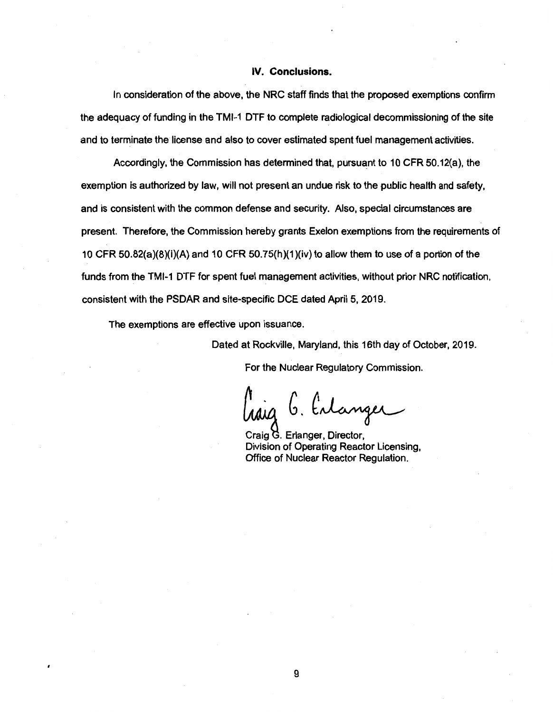#### **IV. Conclusions.**

In consideration of the above, the NRC staff finds that the proposed exemptions confirm the adequacy of funding in the TMl-1 DTF to complete radiological decommissioning of the site and to terminate the license and also to cover estimated spent fuel management activities.

Accordingly, the Commission has determined that, pursuant to 10 CFR 50.12(a), the exemption is authorized by law, will not present an undue risk to the public health and safety, and is consistent with the common defense and security. Also, special circumstances are present. Therefore, the Commission hereby grants Exelon exemptions from the requirements of 10 CFR 50.82(a)(8)(i)(A) and 10 CFR 50.75(h)(1)(iv) to allow them to use of a portion of the funds from the TMl-1 DTF for spent fuel management activities, without prior NRC notification, consistent with the PSDAR and site-specific DCE dated April 5, 2019.

The exemptions are effective upon issuance.

Dated at Rockville, Maryland, this 16th day of October, 2019.

For the Nuclear Regulatory Commission.

 $\begin{array}{ccc} \n\mu & \n\end{array}$   $\begin{array}{ccc} \n\mu & \n\end{array}$ <br>  $\begin{array}{ccc} \n\mu & \n\end{array}$  Craig G. Erlanger, Director,<br>
Division of Operating Reactor Licensing,

Office of Nuclear Reactor Regulation.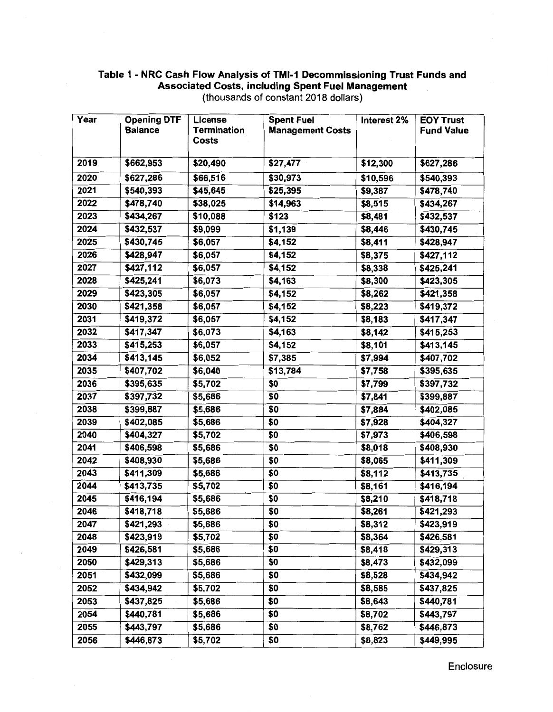## Table 1 - NRC Cash Flow Analysis of TMl-1 Decommissioning Trust Funds and Associated Costs, including Spent Fuel Management (thousands of constant 2018 dollars)

| Year | <b>Opening DTF</b> | License            | <b>Spent Fuel</b>       | Interest 2% | <b>EOY Trust</b>  |
|------|--------------------|--------------------|-------------------------|-------------|-------------------|
|      | <b>Balance</b>     | <b>Termination</b> | <b>Management Costs</b> |             | <b>Fund Value</b> |
|      |                    | Costs              |                         |             |                   |
| 2019 | \$662,953          | \$20,490           | \$27,477                | \$12,300    | \$627,286         |
| 2020 | \$627,286          | \$66,516           | \$30,973                | \$10,596    | \$540,393         |
| 2021 | \$540,393          | \$45,645           | \$25,395                | \$9,387     | \$478,740         |
| 2022 | \$478,740          | \$38,025           | \$14,963                | \$8,515     | \$434,267         |
| 2023 | \$434,267          | \$10,088           | \$123                   | \$8,481     | \$432,537         |
| 2024 | \$432,537          | \$9,099            | \$1,139                 | \$8,446     | \$430,745         |
| 2025 | \$430,745          | \$6,057            | \$4,152                 | \$8,411     | \$428,947         |
| 2026 | \$428,947          | \$6,057            | \$4,152                 | \$8,375     | \$427,112         |
| 2027 | \$427,112          | \$6,057            | \$4,152                 | \$8,338     | \$425,241         |
| 2028 | \$425,241          | \$6,073            | \$4,163                 | \$8,300     | \$423,305         |
| 2029 | \$423,305          | \$6,057            | \$4,152                 | \$8,262     | \$421,358         |
| 2030 | \$421,358          | \$6,057            | \$4,152                 | \$8,223     | \$419,372         |
| 2031 | \$419,372          | \$6,057            | \$4,152                 | \$8,183     | \$417,347         |
| 2032 | \$417,347          | \$6,073            | \$4,163                 | \$8,142     | \$415,253         |
| 2033 | \$415,253          | \$6,057            | \$4,152                 | \$8,101     | \$413,145         |
| 2034 | \$413,145          | \$6,052            | \$7,385                 | \$7,994     | \$407,702         |
| 2035 | \$407,702          | \$6,040            | \$13,784                | \$7,758     | \$395,635         |
| 2036 | \$395,635          | \$5,702            | \$0                     | \$7,799     | \$397,732         |
| 2037 | \$397,732          | \$5,686            | \$0                     | \$7,841     | \$399,887         |
| 2038 | \$399,887          | \$5,686            | \$0                     | \$7,884     | \$402,085         |
| 2039 | \$402,085          | \$5,686            | \$0                     | \$7,928     | \$404,327         |
| 2040 | \$404,327          | \$5,702            | \$0                     | \$7,973     | \$406,598         |
| 2041 | \$406,598          | \$5,686            | \$0                     | \$8,018     | \$408,930         |
| 2042 | \$408,930          | \$5,686            | \$0                     | \$8,065     | \$411,309         |
| 2043 | \$411,309          | \$5,686            | \$0                     | \$8,112     | \$413,735         |
| 2044 | \$413,735          | \$5,702            | \$0                     | \$8,161     | \$416,194         |
| 2045 | \$416,194          | \$5,686            | \$0                     | \$8,210     | \$418,718         |
| 2046 | \$418,718          | \$5,686            | \$0                     | \$8,261     | \$421,293         |
| 2047 | \$421,293          | \$5,686            | \$0                     | \$8,312     | \$423,919         |
| 2048 | \$423,919          | \$5,702            | \$0                     | \$8,364     | \$426,581         |
| 2049 | \$426,581          | \$5,686            | \$0                     | \$8,418     | \$429,313         |
| 2050 | \$429,313          | \$5,686            | \$0                     | \$8,473     | \$432,099         |
| 2051 | \$432,099          | \$5,686            | \$0                     | \$8,528     | \$434,942         |
| 2052 | \$434,942          | \$5,702            | \$0                     | \$8,585     | \$437,825         |
| 2053 | \$437,825          | \$5,686            | \$0                     | \$8,643     | \$440,781         |
| 2054 | \$440,781          | \$5,686            | \$0                     | \$8,702     | \$443,797         |
| 2055 | \$443,797          | \$5,686            | \$0                     | \$8,762     | \$446,873         |
| 2056 | \$446,873          | \$5,702            | \$0                     | \$8,823     | \$449,995         |

Enclosure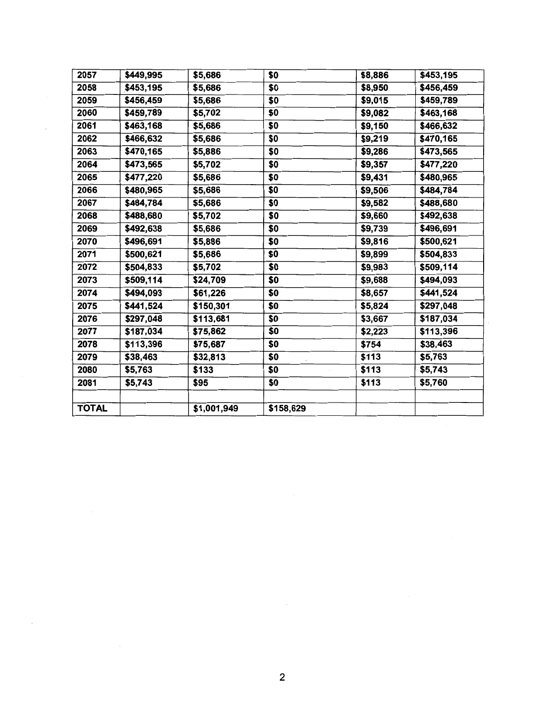| 2057         | \$449,995 | \$5,686     | \$0       | \$8,886 | \$453,195 |
|--------------|-----------|-------------|-----------|---------|-----------|
| 2058         | \$453,195 | \$5,686     | \$0       | \$8,950 | \$456,459 |
| 2059         | \$456,459 | \$5,686     | \$0       | \$9,015 | \$459,789 |
| 2060         | \$459,789 | \$5,702     | \$0       | \$9,082 | \$463,168 |
| 2061         | \$463,168 | \$5,686     | \$0       | \$9,150 | \$466,632 |
| 2062         | \$466,632 | \$5,686     | \$0       | \$9,219 | \$470,165 |
| 2063         | \$470,165 | \$5,886     | \$0       | \$9,286 | \$473,565 |
| 2064         | \$473,565 | \$5,702     | \$0       | \$9,357 | \$477,220 |
| 2065         | \$477,220 | \$5,686     | \$0       | \$9,431 | \$480,965 |
| 2066         | \$480,965 | \$5,686     | \$0       | \$9,506 | \$484,784 |
| 2067         | \$484,784 | \$5,686     | \$0       | \$9,582 | \$488,680 |
| 2068         | \$488,680 | \$5,702     | \$0       | \$9,660 | \$492,638 |
| 2069         | \$492,638 | \$5,686     | \$0       | \$9,739 | \$496,691 |
| 2070         | \$496,691 | \$5,886     | \$0       | \$9,816 | \$500,621 |
| 2071         | \$500,621 | \$5,686     | \$0       | \$9,899 | \$504,833 |
| 2072         | \$504,833 | \$5,702     | \$0       | \$9,983 | \$509,114 |
| 2073         | \$509,114 | \$24,709    | \$0       | \$9,688 | \$494,093 |
| 2074         | \$494,093 | \$61,226    | \$0       | \$8,657 | \$441,524 |
| 2075         | \$441,524 | \$150,301   | \$0       | \$5,824 | \$297,048 |
| 2076         | \$297,048 | \$113,681   | \$0       | \$3,667 | \$187,034 |
| 2077         | \$187,034 | \$75,862    | \$0       | \$2,223 | \$113,396 |
| 2078         | \$113,396 | \$75,687    | \$0       | \$754   | \$38,463  |
| 2079         | \$38,463  | \$32,813    | \$0       | \$113   | \$5,763   |
| 2080         | \$5,763   | \$133       | \$0       | \$113   | \$5,743   |
| 2081         | \$5,743   | \$95        | \$0       | \$113   | \$5,760   |
|              |           |             |           |         |           |
| <b>TOTAL</b> |           | \$1,001,949 | \$158,629 |         |           |

 $\mathcal{L}$